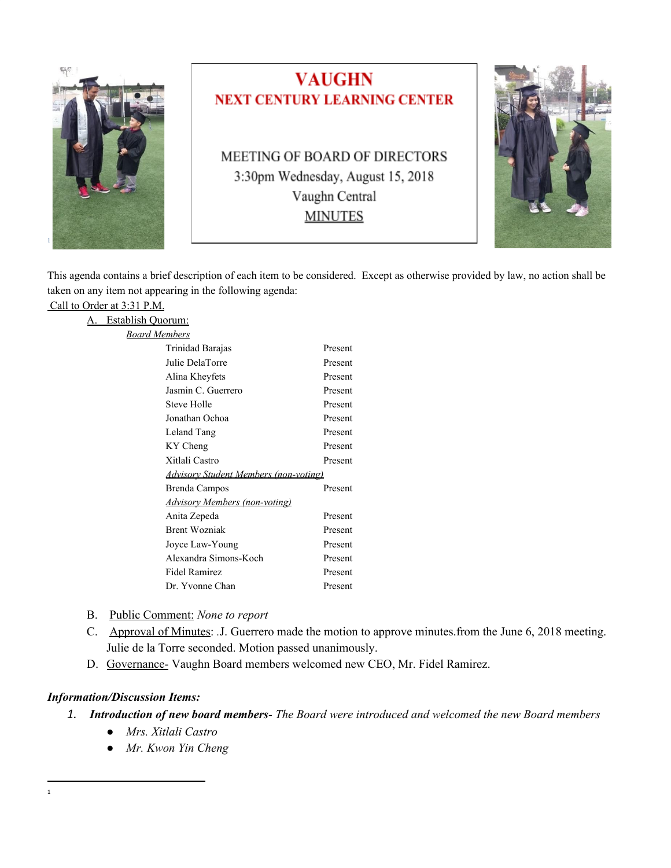

## **VAUGHN NEXT CENTURY LEARNING CENTER**

MEETING OF BOARD OF DIRECTORS 3:30pm Wednesday, August 15, 2018 Vaughn Central **MINUTES** 



This agenda contains a brief description of each item to be considered. Except as otherwise provided by law, no action shall be taken on any item not appearing in the following agenda:

## Call to Order at 3:31 P.M.

|                      | <b>Establish Quorum:</b>                     |         |
|----------------------|----------------------------------------------|---------|
| <u>Board Members</u> |                                              |         |
|                      | Trinidad Barajas                             | Present |
|                      | Julie DelaTorre                              | Present |
|                      | Alina Kheyfets                               | Present |
|                      | Jasmin C. Guerrero                           | Present |
|                      | Steve Holle                                  | Present |
|                      | Jonathan Ochoa                               | Present |
|                      | Leland Tang                                  | Present |
|                      | KY Cheng                                     | Present |
|                      | Xitlali Castro                               | Present |
|                      | <b>Advisory Student Members (non-voting)</b> |         |
|                      | Brenda Campos                                | Present |
|                      | <b>Advisory Members (non-voting)</b>         |         |
|                      | Anita Zepeda                                 | Present |
|                      | <b>Brent Wozniak</b>                         | Present |
|                      | Joyce Law-Young                              | Present |
|                      | Alexandra Simons-Koch                        | Present |
|                      | Fidel Ramirez                                | Present |
|                      | Dr. Yvonne Chan                              | Present |
|                      |                                              |         |

- B. Public Comment: *None to report*
- C. Approval of Minutes: *.*J. Guerrero made the motion to approve minutes.from the June 6, 2018 meeting. Julie de la Torre seconded. Motion passed unanimously.
- D. Governance- Vaughn Board members welcomed new CEO, Mr. Fidel Ramirez.

## *Information/Discussion Items:*

- *1. Introduction of new board members- The Board were introduced and welcomed the new Board members*
	- *● Mrs. Xitlali Castro*
	- *● Mr. Kwon Yin Cheng*

1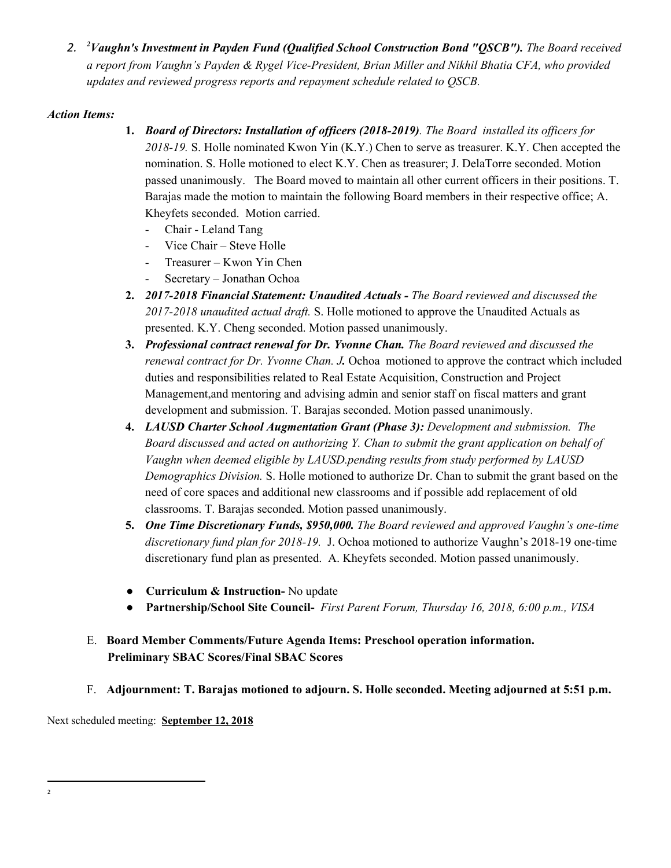*2. Vaughn's Investment in Payden Fund (Qualified School Construction Bond "QSCB"). The Board received 2 a report from Vaughn's Payden & Rygel Vice-President, Brian Miller and Nikhil Bhatia CFA, who provided updates and reviewed progress reports and repayment schedule related to QSCB.*

## *Action Items:*

- **1.** *Board of Directors: Installation of of icers (2018-2019). The Board installed its of icers for 2018-19.* S. Holle nominated Kwon Yin (K.Y.) Chen to serve as treasurer. K.Y. Chen accepted the nomination. S. Holle motioned to elect K.Y. Chen as treasurer; J. DelaTorre seconded. Motion passed unanimously. The Board moved to maintain all other current officers in their positions. T. Barajas made the motion to maintain the following Board members in their respective office; A. Kheyfets seconded. Motion carried.
	- Chair Leland Tang
	- Vice Chair Steve Holle
	- Treasurer Kwon Yin Chen
	- Secretary Jonathan Ochoa
- **2.** *2017-2018 Financial Statement: Unaudited Actuals - The Board reviewed and discussed the 2017-2018 unaudited actual draft.* S. Holle motioned to approve the Unaudited Actuals as presented. K.Y. Cheng seconded. Motion passed unanimously.
- **3.** *Professional contract renewal for Dr. Yvonne Chan. The Board reviewed and discussed the renewal contract for Dr. Yvonne Chan. J.* Ochoa motioned to approve the contract which included duties and responsibilities related to Real Estate Acquisition, Construction and Project Management,and mentoring and advising admin and senior staff on fiscal matters and grant development and submission. T. Barajas seconded. Motion passed unanimously.
- **4.** *LAUSD Charter School Augmentation Grant (Phase 3): Development and submission. The Board discussed and acted on authorizing Y. Chan to submit the grant application on behalf of Vaughn when deemed eligible by LAUSD.pending results from study performed by LAUSD Demographics Division.* S. Holle motioned to authorize Dr. Chan to submit the grant based on the need of core spaces and additional new classrooms and if possible add replacement of old classrooms. T. Barajas seconded. Motion passed unanimously.
- **5.** *One Time Discretionary Funds, \$950,000. The Board reviewed and approved Vaughn's one-time discretionary fund plan for 2018-19.* J. Ochoa motioned to authorize Vaughn's 2018-19 one-time discretionary fund plan as presented. A. Kheyfets seconded. Motion passed unanimously.
- **Curriculum & Instruction-** No update
- **Partnership/School Site Council-** *First Parent Forum, Thursday 16, 2018, 6:00 p.m., VISA*
- E. **Board Member Comments/Future Agenda Items: Preschool operation information. Preliminary SBAC Scores/Final SBAC Scores**
- F. **Adjournment: T. Barajas motioned to adjourn. S. Holle seconded. Meeting adjourned at 5:51 p.m.**

Next scheduled meeting: **September 12, 2018**